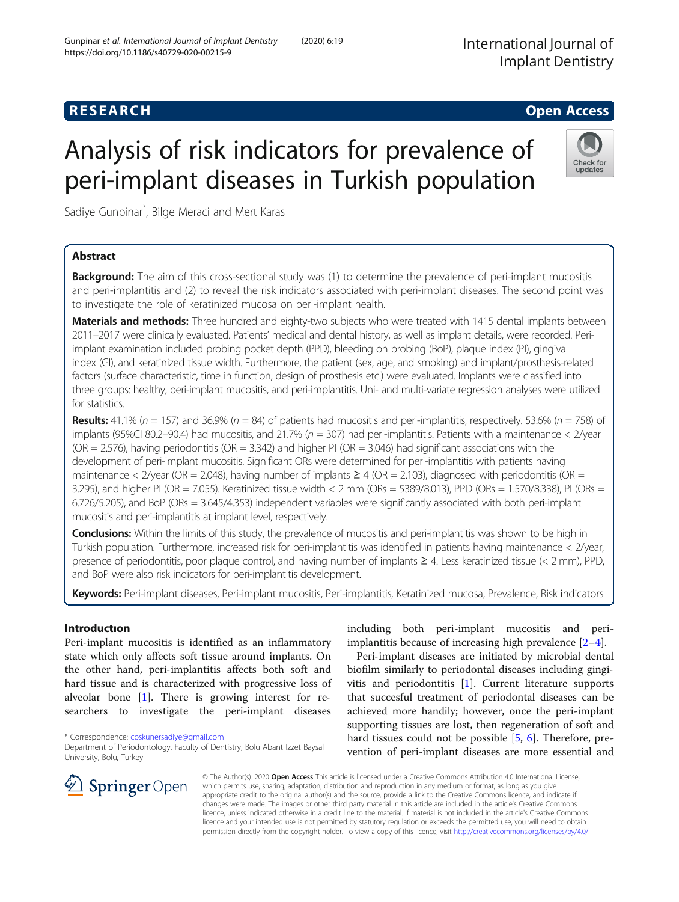International Journal of Implant Dentistry

# **RESEARCH CHEAR CHEAR CHEAR CHEAR CHEAR CHEAR CHEAR CHEAR CHEAR CHEAR CHEAR CHEAR CHEAR CHEAR CHEAR CHEAR CHEAR**

# Analysis of risk indicators for prevalence of peri-implant diseases in Turkish population

Sadiye Gunpinar\* , Bilge Meraci and Mert Karas

# Abstract

**Background:** The aim of this cross-sectional study was (1) to determine the prevalence of peri-implant mucositis and peri-implantitis and (2) to reveal the risk indicators associated with peri-implant diseases. The second point was to investigate the role of keratinized mucosa on peri-implant health.

Materials and methods: Three hundred and eighty-two subjects who were treated with 1415 dental implants between 2011–2017 were clinically evaluated. Patients' medical and dental history, as well as implant details, were recorded. Periimplant examination included probing pocket depth (PPD), bleeding on probing (BoP), plaque index (PI), gingival index (GI), and keratinized tissue width. Furthermore, the patient (sex, age, and smoking) and implant/prosthesis-related factors (surface characteristic, time in function, design of prosthesis etc.) were evaluated. Implants were classified into three groups: healthy, peri-implant mucositis, and peri-implantitis. Uni- and multi-variate regression analyses were utilized for statistics.

**Results:** 41.1% ( $n = 157$ ) and 36.9% ( $n = 84$ ) of patients had mucositis and peri-implantitis, respectively. 53.6% ( $n = 758$ ) of implants (95%CI 80.2–90.4) had mucositis, and 21.7% ( $n = 307$ ) had peri-implantitis. Patients with a maintenance < 2/year  $(OR = 2.576)$ , having periodontitis  $(OR = 3.342)$  and higher PI  $(OR = 3.046)$  had significant associations with the development of peri-implant mucositis. Significant ORs were determined for peri-implantitis with patients having maintenance < 2/year (OR = 2.048), having number of implants  $\geq 4$  (OR = 2.103), diagnosed with periodontitis (OR = 3.295), and higher PI (OR = 7.055). Keratinized tissue width < 2 mm (ORs = 5389/8.013), PPD (ORs = 1.570/8.338), PI (ORs = 6.726/5.205), and BoP (ORs = 3.645/4.353) independent variables were significantly associated with both peri-implant mucositis and peri-implantitis at implant level, respectively.

Conclusions: Within the limits of this study, the prevalence of mucositis and peri-implantitis was shown to be high in Turkish population. Furthermore, increased risk for peri-implantitis was identified in patients having maintenance < 2/year, presence of periodontitis, poor plaque control, and having number of implants ≥ 4. Less keratinized tissue (< 2 mm), PPD, and BoP were also risk indicators for peri-implantitis development.

Keywords: Peri-implant diseases, Peri-implant mucositis, Peri-implantitis, Keratinized mucosa, Prevalence, Risk indicators

# Introductıon

Peri-implant mucositis is identified as an inflammatory state which only affects soft tissue around implants. On the other hand, peri-implantitis affects both soft and hard tissue and is characterized with progressive loss of alveolar bone [\[1](#page-7-0)]. There is growing interest for researchers to investigate the peri-implant diseases

including both peri-implant mucositis and periimplantitis because of increasing high prevalence [\[2](#page-7-0)–[4](#page-7-0)].

Peri-implant diseases are initiated by microbial dental biofilm similarly to periodontal diseases including gingivitis and periodontitis [\[1](#page-7-0)]. Current literature supports that succesful treatment of periodontal diseases can be achieved more handily; however, once the peri-implant supporting tissues are lost, then regeneration of soft and hard tissues could not be possible [[5,](#page-7-0) [6](#page-7-0)]. Therefore, prevention of peri-implant diseases are more essential and

© The Author(s). 2020 Open Access This article is licensed under a Creative Commons Attribution 4.0 International License, which permits use, sharing, adaptation, distribution and reproduction in any medium or format, as long as you give appropriate credit to the original author(s) and the source, provide a link to the Creative Commons licence, and indicate if changes were made. The images or other third party material in this article are included in the article's Creative Commons licence, unless indicated otherwise in a credit line to the material. If material is not included in the article's Creative Commons licence and your intended use is not permitted by statutory regulation or exceeds the permitted use, you will need to obtain permission directly from the copyright holder. To view a copy of this licence, visit <http://creativecommons.org/licenses/by/4.0/>.





<sup>\*</sup> Correspondence: [coskunersadiye@gmail.com](mailto:coskunersadiye@gmail.com)

Department of Periodontology, Faculty of Dentistry, Bolu Abant Izzet Baysal University, Bolu, Turkey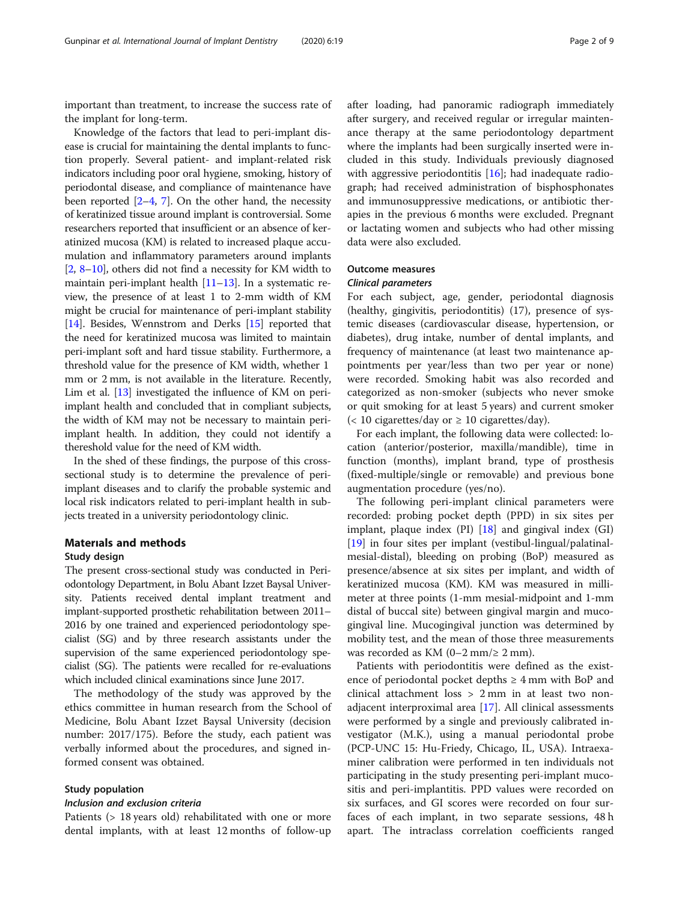important than treatment, to increase the success rate of the implant for long-term.

Knowledge of the factors that lead to peri-implant disease is crucial for maintaining the dental implants to function properly. Several patient- and implant-related risk indicators including poor oral hygiene, smoking, history of periodontal disease, and compliance of maintenance have been reported  $[2-4, 7]$  $[2-4, 7]$  $[2-4, 7]$  $[2-4, 7]$  $[2-4, 7]$  $[2-4, 7]$ . On the other hand, the necessity of keratinized tissue around implant is controversial. Some researchers reported that insufficient or an absence of keratinized mucosa (KM) is related to increased plaque accumulation and inflammatory parameters around implants [[2,](#page-7-0) [8](#page-7-0)–[10](#page-7-0)], others did not find a necessity for KM width to maintain peri-implant health [\[11](#page-7-0)–[13](#page-7-0)]. In a systematic review, the presence of at least 1 to 2-mm width of KM might be crucial for maintenance of peri-implant stability [[14](#page-7-0)]. Besides, Wennstrom and Derks [[15](#page-7-0)] reported that the need for keratinized mucosa was limited to maintain peri-implant soft and hard tissue stability. Furthermore, a threshold value for the presence of KM width, whether 1 mm or 2 mm, is not available in the literature. Recently, Lim et al. [\[13\]](#page-7-0) investigated the influence of KM on periimplant health and concluded that in compliant subjects, the width of KM may not be necessary to maintain periimplant health. In addition, they could not identify a thereshold value for the need of KM width.

In the shed of these findings, the purpose of this crosssectional study is to determine the prevalence of periimplant diseases and to clarify the probable systemic and local risk indicators related to peri-implant health in subjects treated in a university periodontology clinic.

#### Materıals and methods

#### Study design

The present cross-sectional study was conducted in Periodontology Department, in Bolu Abant Izzet Baysal University. Patients received dental implant treatment and implant-supported prosthetic rehabilitation between 2011– 2016 by one trained and experienced periodontology specialist (SG) and by three research assistants under the supervision of the same experienced periodontology specialist (SG). The patients were recalled for re-evaluations which included clinical examinations since June 2017.

The methodology of the study was approved by the ethics committee in human research from the School of Medicine, Bolu Abant Izzet Baysal University (decision number: 2017/175). Before the study, each patient was verbally informed about the procedures, and signed informed consent was obtained.

#### Study population

#### Inclusion and exclusion criteria

Patients (> 18 years old) rehabilitated with one or more dental implants, with at least 12 months of follow-up after loading, had panoramic radiograph immediately after surgery, and received regular or irregular maintenance therapy at the same periodontology department where the implants had been surgically inserted were included in this study. Individuals previously diagnosed with aggressive periodontitis [\[16\]](#page-7-0); had inadequate radiograph; had received administration of bisphosphonates and immunosuppressive medications, or antibiotic therapies in the previous 6 months were excluded. Pregnant or lactating women and subjects who had other missing data were also excluded.

#### Outcome measures

#### Clinical parameters

For each subject, age, gender, periodontal diagnosis (healthy, gingivitis, periodontitis) (17), presence of systemic diseases (cardiovascular disease, hypertension, or diabetes), drug intake, number of dental implants, and frequency of maintenance (at least two maintenance appointments per year/less than two per year or none) were recorded. Smoking habit was also recorded and categorized as non-smoker (subjects who never smoke or quit smoking for at least 5 years) and current smoker  $\langle$  10 cigarettes/day or  $\geq$  10 cigarettes/day).

For each implant, the following data were collected: location (anterior/posterior, maxilla/mandible), time in function (months), implant brand, type of prosthesis (fixed-multiple/single or removable) and previous bone augmentation procedure (yes/no).

The following peri-implant clinical parameters were recorded: probing pocket depth (PPD) in six sites per implant, plaque index  $(PI)$   $[18]$  and gingival index  $(GI)$ [[19\]](#page-7-0) in four sites per implant (vestibul-lingual/palatinalmesial-distal), bleeding on probing (BoP) measured as presence/absence at six sites per implant, and width of keratinized mucosa (KM). KM was measured in millimeter at three points (1-mm mesial-midpoint and 1-mm distal of buccal site) between gingival margin and mucogingival line. Mucogingival junction was determined by mobility test, and the mean of those three measurements was recorded as KM  $(0-2 \text{ mm/s } 2 \text{ mm})$ .

Patients with periodontitis were defined as the existence of periodontal pocket depths  $\geq 4$  mm with BoP and clinical attachment loss > 2 mm in at least two nonadjacent interproximal area [[17\]](#page-7-0). All clinical assessments were performed by a single and previously calibrated investigator (M.K.), using a manual periodontal probe (PCP-UNC 15: Hu-Friedy, Chicago, IL, USA). Intraexaminer calibration were performed in ten individuals not participating in the study presenting peri-implant mucositis and peri-implantitis. PPD values were recorded on six surfaces, and GI scores were recorded on four surfaces of each implant, in two separate sessions, 48 h apart. The intraclass correlation coefficients ranged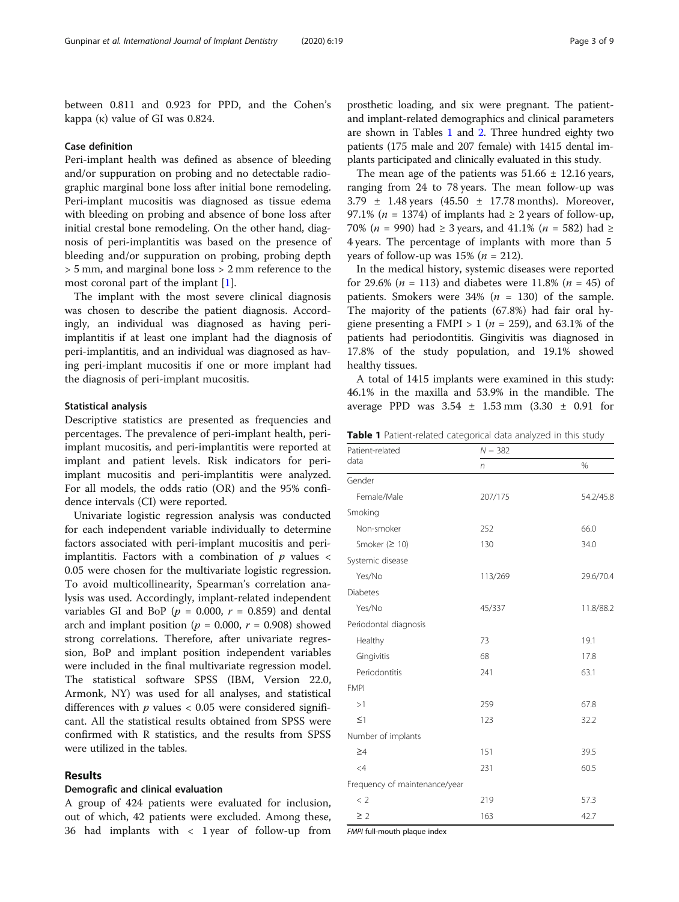between 0.811 and 0.923 for PPD, and the Cohen's kappa  $(\kappa)$  value of GI was 0.824.

#### Case definition

Peri-implant health was defined as absence of bleeding and/or suppuration on probing and no detectable radiographic marginal bone loss after initial bone remodeling. Peri-implant mucositis was diagnosed as tissue edema with bleeding on probing and absence of bone loss after initial crestal bone remodeling. On the other hand, diagnosis of peri-implantitis was based on the presence of bleeding and/or suppuration on probing, probing depth > 5 mm, and marginal bone loss > 2 mm reference to the most coronal part of the implant [\[1](#page-7-0)].

The implant with the most severe clinical diagnosis was chosen to describe the patient diagnosis. Accordingly, an individual was diagnosed as having periimplantitis if at least one implant had the diagnosis of peri-implantitis, and an individual was diagnosed as having peri-implant mucositis if one or more implant had the diagnosis of peri-implant mucositis.

#### Statistical analysis

Descriptive statistics are presented as frequencies and percentages. The prevalence of peri-implant health, periimplant mucositis, and peri-implantitis were reported at implant and patient levels. Risk indicators for periimplant mucositis and peri-implantitis were analyzed. For all models, the odds ratio (OR) and the 95% confidence intervals (CI) were reported.

Univariate logistic regression analysis was conducted for each independent variable individually to determine factors associated with peri-implant mucositis and periimplantitis. Factors with a combination of  $p$  values  $\lt$ 0.05 were chosen for the multivariate logistic regression. To avoid multicollinearity, Spearman's correlation analysis was used. Accordingly, implant-related independent variables GI and BoP ( $p = 0.000$ ,  $r = 0.859$ ) and dental arch and implant position ( $p = 0.000$ ,  $r = 0.908$ ) showed strong correlations. Therefore, after univariate regression, BoP and implant position independent variables were included in the final multivariate regression model. The statistical software SPSS (IBM, Version 22.0, Armonk, NY) was used for all analyses, and statistical differences with  $p$  values < 0.05 were considered significant. All the statistical results obtained from SPSS were confirmed with R statistics, and the results from SPSS were utilized in the tables.

#### Results

#### Demografic and clinical evaluation

A group of 424 patients were evaluated for inclusion, out of which, 42 patients were excluded. Among these, 36 had implants with < 1 year of follow-up from

prosthetic loading, and six were pregnant. The patientand implant-related demographics and clinical parameters are shown in Tables 1 and [2](#page-3-0). Three hundred eighty two patients (175 male and 207 female) with 1415 dental implants participated and clinically evaluated in this study.

The mean age of the patients was  $51.66 \pm 12.16$  years, ranging from 24 to 78 years. The mean follow-up was  $3.79 \pm 1.48$  years  $(45.50 \pm 17.78 \text{ months})$ . Moreover, 97.1% ( $n = 1374$ ) of implants had  $\geq 2$  years of follow-up, 70% (*n* = 990) had ≥ 3 years, and 41.1% (*n* = 582) had ≥ 4 years. The percentage of implants with more than 5 years of follow-up was  $15\%$  ( $n = 212$ ).

In the medical history, systemic diseases were reported for 29.6% ( $n = 113$ ) and diabetes were 11.8% ( $n = 45$ ) of patients. Smokers were  $34\%$  ( $n = 130$ ) of the sample. The majority of the patients (67.8%) had fair oral hygiene presenting a FMPI > 1 ( $n = 259$ ), and 63.1% of the patients had periodontitis. Gingivitis was diagnosed in 17.8% of the study population, and 19.1% showed healthy tissues.

A total of 1415 implants were examined in this study: 46.1% in the maxilla and 53.9% in the mandible. The average PPD was  $3.54 \pm 1.53$  mm  $(3.30 \pm 0.91)$  for

Table 1 Patient-related categorical data analyzed in this study

| Patient-related               | $N = 382$ |           |
|-------------------------------|-----------|-----------|
| data                          | n         | %         |
| Gender                        |           |           |
| Female/Male                   | 207/175   | 54.2/45.8 |
| Smoking                       |           |           |
| Non-smoker                    | 252       | 66.0      |
| Smoker ( $\geq$ 10)           | 130       | 34.0      |
| Systemic disease              |           |           |
| Yes/No                        | 113/269   | 29.6/70.4 |
| <b>Diabetes</b>               |           |           |
| Yes/No                        | 45/337    | 11.8/88.2 |
| Periodontal diagnosis         |           |           |
| Healthy                       | 73        | 19.1      |
| Gingivitis                    | 68        | 17.8      |
| Periodontitis                 | 241       | 63.1      |
| <b>FMPI</b>                   |           |           |
| >1                            | 259       | 67.8      |
| $\leq$ 1                      | 123       | 32.2      |
| Number of implants            |           |           |
| $\geq 4$                      | 151       | 39.5      |
| $\leq 4$                      | 231       | 60.5      |
| Frequency of maintenance/year |           |           |
| < 2                           | 219       | 57.3      |
| $\geq$ 2                      | 163       | 42.7      |

FMPI full-mouth plaque index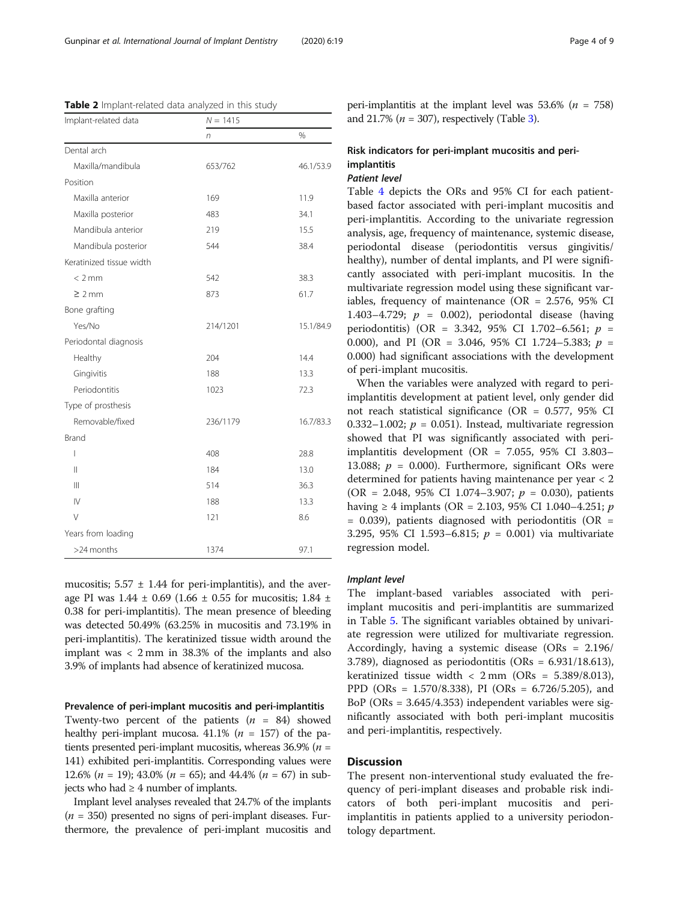| Implant-related data     | $N = 1415$ |           |
|--------------------------|------------|-----------|
|                          | n          | %         |
| Dental arch              |            |           |
| Maxilla/mandibula        | 653/762    | 46.1/53.9 |
| Position                 |            |           |
| Maxilla anterior         | 169        | 11.9      |
| Maxilla posterior        | 483        | 34.1      |
| Mandibula anterior       | 219        | 15.5      |
| Mandibula posterior      | 544        | 38.4      |
| Keratinized tissue width |            |           |
| $<$ 2 mm                 | 542        | 38.3      |
| $\geq 2$ mm              | 873        | 61.7      |
| Bone grafting            |            |           |
| Yes/No                   | 214/1201   | 15.1/84.9 |
| Periodontal diagnosis    |            |           |
| Healthy                  | 204        | 14.4      |
| Gingivitis               | 188        | 13.3      |
| Periodontitis            | 1023       | 72.3      |
| Type of prosthesis       |            |           |
| Removable/fixed          | 236/1179   | 16.7/83.3 |
| <b>Brand</b>             |            |           |
| I                        | 408        | 28.8      |
| $\mathsf{II}$            | 184        | 13.0      |
| Ш                        | 514        | 36.3      |
| $\mathsf{IV}$            | 188        | 13.3      |
| V                        | 121        | 8.6       |
| Years from loading       |            |           |
| >24 months               | 1374       | 97.1      |

<span id="page-3-0"></span>Table 2 Implant-related data analyzed in this study

mucositis;  $5.57 \pm 1.44$  for peri-implantitis), and the average PI was  $1.44 \pm 0.69$  (1.66  $\pm$  0.55 for mucositis; 1.84  $\pm$ 0.38 for peri-implantitis). The mean presence of bleeding was detected 50.49% (63.25% in mucositis and 73.19% in peri-implantitis). The keratinized tissue width around the implant was < 2 mm in 38.3% of the implants and also 3.9% of implants had absence of keratinized mucosa.

#### Prevalence of peri-implant mucositis and peri-implantitis

Twenty-two percent of the patients  $(n = 84)$  showed healthy peri-implant mucosa. 41.1% ( $n = 157$ ) of the patients presented peri-implant mucositis, whereas  $36.9\%$  ( $n =$ 141) exhibited peri-implantitis. Corresponding values were 12.6% ( $n = 19$ ); 43.0% ( $n = 65$ ); and 44.4% ( $n = 67$ ) in subjects who had  $\geq 4$  number of implants.

Implant level analyses revealed that 24.7% of the implants  $(n = 350)$  presented no signs of peri-implant diseases. Furthermore, the prevalence of peri-implant mucositis and peri-implantitis at the implant level was 53.6% ( $n = 758$ ) and 21.7% ( $n = 307$  $n = 307$  $n = 307$ ), respectively (Table 3).

## Risk indicators for peri-implant mucositis and periimplantitis

### Patient level

Table [4](#page-4-0) depicts the ORs and 95% CI for each patientbased factor associated with peri-implant mucositis and peri-implantitis. According to the univariate regression analysis, age, frequency of maintenance, systemic disease, periodontal disease (periodontitis versus gingivitis/ healthy), number of dental implants, and PI were significantly associated with peri-implant mucositis. In the multivariate regression model using these significant variables, frequency of maintenance (OR = 2.576, 95% CI 1.403–4.729;  $p = 0.002$ ), periodontal disease (having periodontitis) (OR = 3.342, 95% CI 1.702-6.561;  $p =$ 0.000), and PI (OR = 3.046, 95% CI 1.724–5.383;  $p =$ 0.000) had significant associations with the development of peri-implant mucositis.

When the variables were analyzed with regard to periimplantitis development at patient level, only gender did not reach statistical significance (OR = 0.577, 95% CI 0.332–1.002;  $p = 0.051$ ). Instead, multivariate regression showed that PI was significantly associated with periimplantitis development (OR = 7.055, 95% CI 3.803– 13.088;  $p = 0.000$ ). Furthermore, significant ORs were determined for patients having maintenance per year < 2 (OR = 2.048, 95% CI 1.074-3.907;  $p = 0.030$ ), patients having ≥ 4 implants (OR = 2.103, 95% CI 1.040–4.251; *p*  $= 0.039$ ), patients diagnosed with periodontitis (OR  $=$ 3.295, 95% CI 1.593–6.815;  $p = 0.001$ ) via multivariate regression model.

#### Implant level

The implant-based variables associated with periimplant mucositis and peri-implantitis are summarized in Table [5.](#page-5-0) The significant variables obtained by univariate regression were utilized for multivariate regression. Accordingly, having a systemic disease (ORs = 2.196/ 3.789), diagnosed as periodontitis (ORs = 6.931/18.613), keratinized tissue width  $\langle$  2 mm (ORs = 5.389/8.013), PPD (ORs = 1.570/8.338), PI (ORs = 6.726/5.205), and BoP (ORs = 3.645/4.353) independent variables were significantly associated with both peri-implant mucositis and peri-implantitis, respectively.

#### **Discussion**

The present non-interventional study evaluated the frequency of peri-implant diseases and probable risk indicators of both peri-implant mucositis and periimplantitis in patients applied to a university periodontology department.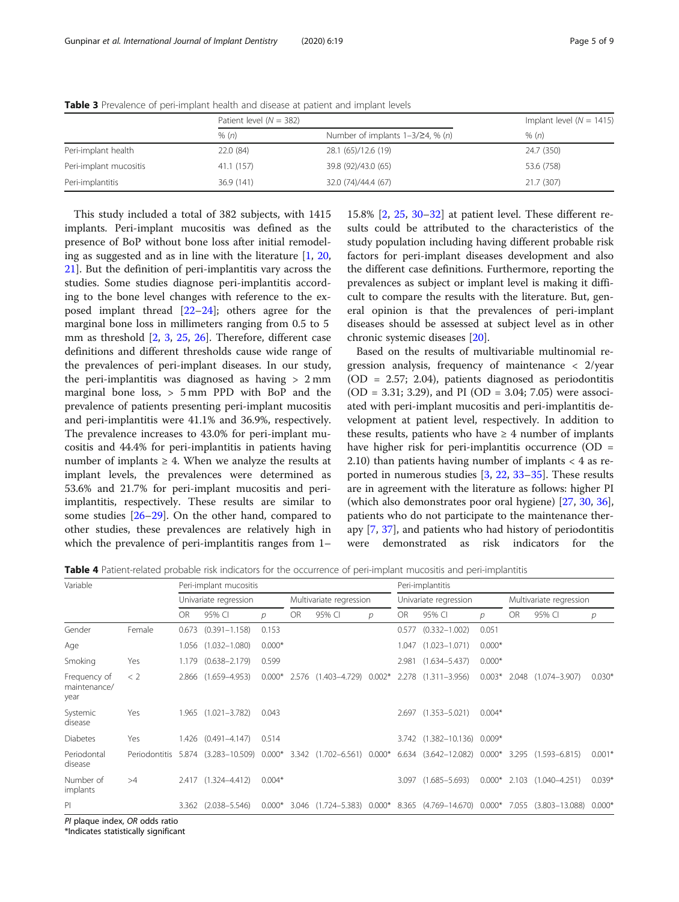|                        | Patient level $(N = 382)$ |                                     | Implant level ( $N = 1415$ ) |
|------------------------|---------------------------|-------------------------------------|------------------------------|
|                        | % (n)                     | Number of implants $1-3/24$ , % (n) | % (n)                        |
| Peri-implant health    | 22.0 (84)                 | 28.1 (65)/12.6 (19)                 | 24.7 (350)                   |
| Peri-implant mucositis | 41.1 (157)                | 39.8 (92)/43.0 (65)                 | 53.6 (758)                   |
| Peri-implantitis       | 36.9 (141)                | 32.0 (74)/44.4 (67)                 | 21.7 (307)                   |

<span id="page-4-0"></span>Table 3 Prevalence of peri-implant health and disease at patient and implant levels

This study included a total of 382 subjects, with 1415 implants. Peri-implant mucositis was defined as the presence of BoP without bone loss after initial remodeling as suggested and as in line with the literature [\[1](#page-7-0), [20](#page-7-0), [21\]](#page-7-0). But the definition of peri-implantitis vary across the studies. Some studies diagnose peri-implantitis according to the bone level changes with reference to the exposed implant thread [\[22](#page-7-0)–[24\]](#page-7-0); others agree for the marginal bone loss in millimeters ranging from 0.5 to 5 mm as threshold [[2,](#page-7-0) [3](#page-7-0), [25,](#page-7-0) [26](#page-7-0)]. Therefore, different case definitions and different thresholds cause wide range of the prevalences of peri-implant diseases. In our study, the peri-implantitis was diagnosed as having > 2 mm marginal bone loss, > 5 mm PPD with BoP and the prevalence of patients presenting peri-implant mucositis and peri-implantitis were 41.1% and 36.9%, respectively. The prevalence increases to 43.0% for peri-implant mucositis and 44.4% for peri-implantitis in patients having number of implants  $\geq 4$ . When we analyze the results at implant levels, the prevalences were determined as 53.6% and 21.7% for peri-implant mucositis and periimplantitis, respectively. These results are similar to some studies [\[26](#page-7-0)–[29\]](#page-7-0). On the other hand, compared to other studies, these prevalences are relatively high in which the prevalence of peri-implantitis ranges from 1–

15.8% [\[2](#page-7-0), [25,](#page-7-0) [30](#page-7-0)–[32\]](#page-7-0) at patient level. These different results could be attributed to the characteristics of the study population including having different probable risk factors for peri-implant diseases development and also the different case definitions. Furthermore, reporting the prevalences as subject or implant level is making it difficult to compare the results with the literature. But, general opinion is that the prevalences of peri-implant diseases should be assessed at subject level as in other chronic systemic diseases [[20](#page-7-0)].

Based on the results of multivariable multinomial regression analysis, frequency of maintenance < 2/year (OD = 2.57; 2.04), patients diagnosed as periodontitis  $(OD = 3.31; 3.29)$ , and PI  $(OD = 3.04; 7.05)$  were associated with peri-implant mucositis and peri-implantitis development at patient level, respectively. In addition to these results, patients who have  $\geq 4$  number of implants have higher risk for peri-implantitis occurrence (OD = 2.10) than patients having number of implants < 4 as reported in numerous studies [[3,](#page-7-0) [22,](#page-7-0) [33](#page-7-0)–[35\]](#page-8-0). These results are in agreement with the literature as follows: higher PI (which also demonstrates poor oral hygiene) [\[27](#page-7-0), [30](#page-7-0), [36](#page-8-0)], patients who do not participate to the maintenance therapy [[7,](#page-7-0) [37\]](#page-8-0), and patients who had history of periodontitis were demonstrated as risk indicators for the

Table 4 Patient-related probable risk indicators for the occurrence of peri-implant mucositis and peri-implantitis

| Variable                             |        |           | Peri-implant mucositis             |          |    |                                                |   |           | Peri-implantitis                                       |          |           |                           |          |
|--------------------------------------|--------|-----------|------------------------------------|----------|----|------------------------------------------------|---|-----------|--------------------------------------------------------|----------|-----------|---------------------------|----------|
|                                      |        |           | Univariate regression              |          |    | Multivariate regression                        |   |           | Univariate regression                                  |          |           | Multivariate regression   |          |
|                                      |        | <b>OR</b> | 95% CI                             | D        | OR | 95% CI                                         | D | <b>OR</b> | 95% CI                                                 | D        | <b>OR</b> | 95% CI                    | р        |
| Gender                               | Female | 0.673     | $(0.391 - 1.158)$                  | 0.153    |    |                                                |   | 0.577     | $(0.332 - 1.002)$                                      | 0.051    |           |                           |          |
| Age                                  |        |           | 1.056 (1.032-1.080)                | $0.000*$ |    |                                                |   | 1.047     | $(1.023 - 1.071)$                                      | $0.000*$ |           |                           |          |
| Smoking                              | Yes    | 1.179     | $(0.638 - 2.179)$                  | 0.599    |    |                                                |   | 2.981     | $(1.634 - 5.437)$                                      | $0.000*$ |           |                           |          |
| Frequency of<br>maintenance/<br>year | < 2    |           | 2.866 (1.659-4.953)                | $0.000*$ |    | 2.576 (1.403-4.729) 0.002* 2.278 (1.311-3.956) |   |           |                                                        | $0.003*$ |           | 2.048 (1.074-3.907)       | $0.030*$ |
| Systemic<br>disease                  | Yes    |           | 1.965 (1.021-3.782)                | 0.043    |    |                                                |   | 2.697     | $(1.353 - 5.021)$                                      | $0.004*$ |           |                           |          |
| <b>Diabetes</b>                      | Yes    | 1.426     | $(0.491 - 4.147)$                  | 0.514    |    |                                                |   |           | 3.742 (1.382-10.136) 0.009*                            |          |           |                           |          |
| Periodontal<br>disease               |        |           | Periodontitis 5.874 (3.283-10.509) |          |    | $0.000*$ 3.342 (1.702-6.561) 0.000*            |   | 6.634     | $(3.642 - 12.082)$ 0.000*                              |          |           | $3.295$ $(1.593 - 6.815)$ | $0.001*$ |
| Number of<br>implants                | >4     |           | 2.417 (1.324-4.412)                | $0.004*$ |    |                                                |   | 3.097     | $(1.685 - 5.693)$                                      | $0.000*$ | 2.103     | $(1.040 - 4.251)$         | $0.039*$ |
| PI                                   |        | 3.362     | $(2.038 - 5.546)$                  | $0.000*$ |    |                                                |   |           | 3.046 (1.724-5.383) 0.000* 8.365 (4.769-14.670) 0.000* |          | 7.055     | $(3.803 - 13.088)$        | $0.000*$ |

PI plaque index, OR odds ratio

\*Indicates statistically significant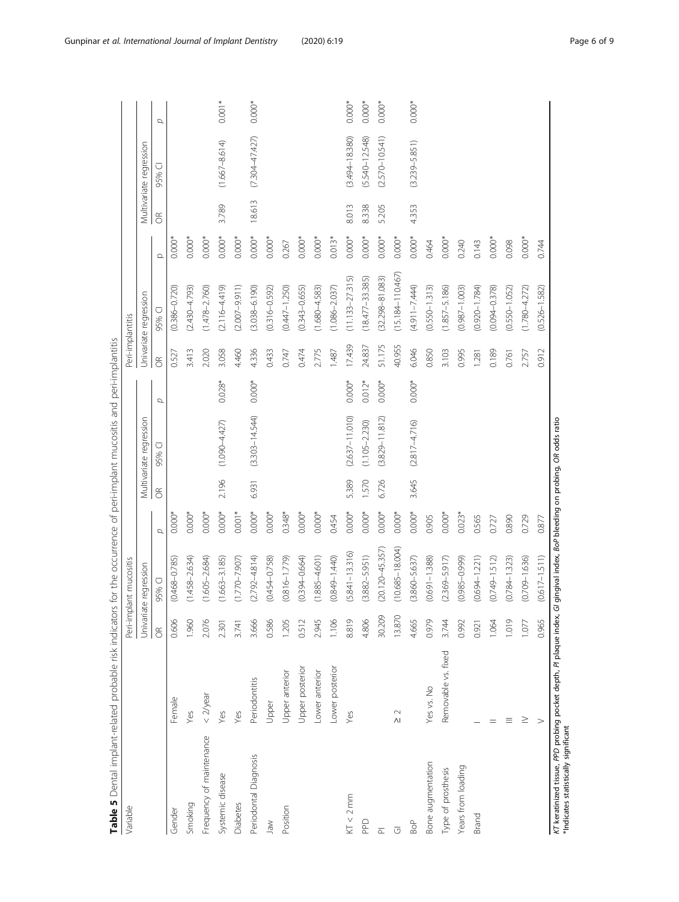<span id="page-5-0"></span>

| Multivariate regression<br>95%<br>2.196<br>3.645<br>5.389<br>1.570<br>6.726<br>6.931<br>$\delta$<br>$0.000*$<br>$0.000*$<br>$0.001*$<br>$0.000*$<br>$0.000*$<br>$0.000*$<br>$0.000*$<br>$0.000*$<br>$0.000*$<br>$0.000*$<br>$0.000*$<br>$0.000*$<br>$0.000*$<br>$0.000*$<br>$0.348*$<br>$0.000*$<br>$0.023*$<br>0.905<br>0.454<br>0.565<br>σ<br>$(10.685 - 18.004)$<br>$(20.120 - 45.357)$<br>$(5.841 - 13.316)$<br>$(3.882 - 5.951)$<br>$(0.849 - 1.440)$<br>$(2.792 - 4.814)$<br>$(0.394 - 0.664)$<br>$(1.885 - 4.601)$<br>$(3.860 - 5.637)$<br>$(2.369 - 5.917)$<br>$(1.458 - 2.634)$<br>$(1.605 - 2.684)$<br>$(1.663 - 3.185)$<br>$(0.816 - 1.779)$<br>$(0.691 - 1.388)$<br>$(0.985 - 0.999)$<br>$(0.694 - 1.221)$<br>$(0.468 - 0.785)$<br>$(1.770 - 7.907)$<br>$(0.454 - 0.758)$<br>Univariate regression<br>95% CI<br>30.209<br>13.870<br>8.819<br>0.606<br>1.960<br>2.076<br>1.106<br>4.806<br>4.665<br>0.979<br>3.666<br>0.586<br>1.205<br>0.512<br>2.945<br>3.744<br>0.992<br>1.064<br>2.301<br>3.741<br>0.921<br>$\widetilde{\sigma}$<br>Removable vs. fixed<br>Lower posterior<br>Upper posterior<br>Lower anterior<br>Upper anterior<br>Periodontitis<br>Yes vs. No<br>$<$ 2/year<br>Female<br>Upper<br>$\sim$<br>Yes<br>Yes<br>Yes<br>Yes<br>$\wedge$<br>Frequency of maintenance<br>Periodontal Diagnosis<br>Bone augmentation<br>Years from loading<br>Type of prosthesis<br>Systemic disease<br>KT < 2 mm<br>Diabetes<br>Smoking<br>Position<br>Gender<br>Brand<br><b>Dad</b><br>Jaw<br>Bo <sub>P</sub><br><b>U</b><br>$\overline{\mathbb{Z}}$ |                            |                    |          |                      |                       |          |          |                         |          |
|----------------------------------------------------------------------------------------------------------------------------------------------------------------------------------------------------------------------------------------------------------------------------------------------------------------------------------------------------------------------------------------------------------------------------------------------------------------------------------------------------------------------------------------------------------------------------------------------------------------------------------------------------------------------------------------------------------------------------------------------------------------------------------------------------------------------------------------------------------------------------------------------------------------------------------------------------------------------------------------------------------------------------------------------------------------------------------------------------------------------------------------------------------------------------------------------------------------------------------------------------------------------------------------------------------------------------------------------------------------------------------------------------------------------------------------------------------------------------------------------------------------------------------------------------------------|----------------------------|--------------------|----------|----------------------|-----------------------|----------|----------|-------------------------|----------|
|                                                                                                                                                                                                                                                                                                                                                                                                                                                                                                                                                                                                                                                                                                                                                                                                                                                                                                                                                                                                                                                                                                                                                                                                                                                                                                                                                                                                                                                                                                                                                                |                            |                    |          |                      | Univariate regression |          |          | Multivariate regression |          |
|                                                                                                                                                                                                                                                                                                                                                                                                                                                                                                                                                                                                                                                                                                                                                                                                                                                                                                                                                                                                                                                                                                                                                                                                                                                                                                                                                                                                                                                                                                                                                                |                            |                    | σ        | $\widetilde{\sigma}$ | 95% CI                | $\Omega$ | $\delta$ | 95% CI                  | σ        |
|                                                                                                                                                                                                                                                                                                                                                                                                                                                                                                                                                                                                                                                                                                                                                                                                                                                                                                                                                                                                                                                                                                                                                                                                                                                                                                                                                                                                                                                                                                                                                                |                            |                    |          | 0.527                | $(0.386 - 0.720)$     | $0.000*$ |          |                         |          |
|                                                                                                                                                                                                                                                                                                                                                                                                                                                                                                                                                                                                                                                                                                                                                                                                                                                                                                                                                                                                                                                                                                                                                                                                                                                                                                                                                                                                                                                                                                                                                                |                            |                    |          | 3.413                | $(2.430 - 4.793)$     | $0.000*$ |          |                         |          |
|                                                                                                                                                                                                                                                                                                                                                                                                                                                                                                                                                                                                                                                                                                                                                                                                                                                                                                                                                                                                                                                                                                                                                                                                                                                                                                                                                                                                                                                                                                                                                                |                            |                    |          | 2.020                | $(1.478 - 2.760)$     | $0.000*$ |          |                         |          |
|                                                                                                                                                                                                                                                                                                                                                                                                                                                                                                                                                                                                                                                                                                                                                                                                                                                                                                                                                                                                                                                                                                                                                                                                                                                                                                                                                                                                                                                                                                                                                                |                            | $(1.090 - 4.427)$  | $0.028*$ | 3.058                | $(2.116 - 4.419)$     | $0.000*$ | 3.789    | $(1.667 - 8.614)$       | $0.001*$ |
|                                                                                                                                                                                                                                                                                                                                                                                                                                                                                                                                                                                                                                                                                                                                                                                                                                                                                                                                                                                                                                                                                                                                                                                                                                                                                                                                                                                                                                                                                                                                                                |                            |                    |          | 4.460                | $(2.007 - 9.911)$     | $0.000*$ |          |                         |          |
|                                                                                                                                                                                                                                                                                                                                                                                                                                                                                                                                                                                                                                                                                                                                                                                                                                                                                                                                                                                                                                                                                                                                                                                                                                                                                                                                                                                                                                                                                                                                                                |                            | $(3.303 - 14.544)$ | $0.000*$ | 4.336                | $(3.038 - 6.190)$     | $0.000*$ | 18.613   | $(7.304 - 47.427)$      | $0.000*$ |
|                                                                                                                                                                                                                                                                                                                                                                                                                                                                                                                                                                                                                                                                                                                                                                                                                                                                                                                                                                                                                                                                                                                                                                                                                                                                                                                                                                                                                                                                                                                                                                |                            |                    |          | 0.433                | $(0.316 - 0.592)$     | $0.000*$ |          |                         |          |
|                                                                                                                                                                                                                                                                                                                                                                                                                                                                                                                                                                                                                                                                                                                                                                                                                                                                                                                                                                                                                                                                                                                                                                                                                                                                                                                                                                                                                                                                                                                                                                |                            |                    |          | 0.747                | $(0.447 - 1.250)$     | 0.267    |          |                         |          |
|                                                                                                                                                                                                                                                                                                                                                                                                                                                                                                                                                                                                                                                                                                                                                                                                                                                                                                                                                                                                                                                                                                                                                                                                                                                                                                                                                                                                                                                                                                                                                                |                            |                    |          | 0.474                | $(0.343 - 0.655)$     | $0.000*$ |          |                         |          |
|                                                                                                                                                                                                                                                                                                                                                                                                                                                                                                                                                                                                                                                                                                                                                                                                                                                                                                                                                                                                                                                                                                                                                                                                                                                                                                                                                                                                                                                                                                                                                                |                            |                    |          | 2.775                | $(1.680 - 4.583)$     | $0.000*$ |          |                         |          |
|                                                                                                                                                                                                                                                                                                                                                                                                                                                                                                                                                                                                                                                                                                                                                                                                                                                                                                                                                                                                                                                                                                                                                                                                                                                                                                                                                                                                                                                                                                                                                                |                            |                    |          | 1.487                | $(1.086 - 2.037)$     | $0.013*$ |          |                         |          |
|                                                                                                                                                                                                                                                                                                                                                                                                                                                                                                                                                                                                                                                                                                                                                                                                                                                                                                                                                                                                                                                                                                                                                                                                                                                                                                                                                                                                                                                                                                                                                                |                            | $(2.637 - 11.010)$ | $0.000*$ | 17.439               | $(11.133 - 27.315)$   | $0.000*$ | 8.013    | $(3.494 - 18.380)$      | $0.000*$ |
|                                                                                                                                                                                                                                                                                                                                                                                                                                                                                                                                                                                                                                                                                                                                                                                                                                                                                                                                                                                                                                                                                                                                                                                                                                                                                                                                                                                                                                                                                                                                                                |                            | $(1.105 - 2.230)$  | $0.012*$ | 24.837               | $(18.477 - 33.385)$   | $0.000*$ | 8.338    | $(5.540 - 12.548)$      | $0.000*$ |
|                                                                                                                                                                                                                                                                                                                                                                                                                                                                                                                                                                                                                                                                                                                                                                                                                                                                                                                                                                                                                                                                                                                                                                                                                                                                                                                                                                                                                                                                                                                                                                |                            | $(3.829 - 11.812)$ | $0.000*$ | 51.175               | $(32.298 - 81.083)$   | $0.000*$ | 5.205    | $(2.570 - 10.541)$      | $0.000*$ |
|                                                                                                                                                                                                                                                                                                                                                                                                                                                                                                                                                                                                                                                                                                                                                                                                                                                                                                                                                                                                                                                                                                                                                                                                                                                                                                                                                                                                                                                                                                                                                                |                            |                    |          | 40.955               | $(15.184 - 110.467)$  | $0.000*$ |          |                         |          |
|                                                                                                                                                                                                                                                                                                                                                                                                                                                                                                                                                                                                                                                                                                                                                                                                                                                                                                                                                                                                                                                                                                                                                                                                                                                                                                                                                                                                                                                                                                                                                                |                            | $(2.817 - 4.716)$  | $0.000*$ | 6.046                | $(4.911 - 7.444)$     | $0.000*$ | 4.353    | $(3.239 - 5.851)$       | $0.000*$ |
|                                                                                                                                                                                                                                                                                                                                                                                                                                                                                                                                                                                                                                                                                                                                                                                                                                                                                                                                                                                                                                                                                                                                                                                                                                                                                                                                                                                                                                                                                                                                                                |                            |                    |          | 0.850                | $(0.550 - 1.313)$     | 0.464    |          |                         |          |
|                                                                                                                                                                                                                                                                                                                                                                                                                                                                                                                                                                                                                                                                                                                                                                                                                                                                                                                                                                                                                                                                                                                                                                                                                                                                                                                                                                                                                                                                                                                                                                |                            |                    |          | 3.103                | $(1.857 - 5.186)$     | $0.000*$ |          |                         |          |
|                                                                                                                                                                                                                                                                                                                                                                                                                                                                                                                                                                                                                                                                                                                                                                                                                                                                                                                                                                                                                                                                                                                                                                                                                                                                                                                                                                                                                                                                                                                                                                |                            |                    |          | 0.995                | $(0.987 - 1.003)$     | 0.240    |          |                         |          |
|                                                                                                                                                                                                                                                                                                                                                                                                                                                                                                                                                                                                                                                                                                                                                                                                                                                                                                                                                                                                                                                                                                                                                                                                                                                                                                                                                                                                                                                                                                                                                                |                            |                    |          | 1.281                | $(0.920 - 1.784)$     | 0.143    |          |                         |          |
|                                                                                                                                                                                                                                                                                                                                                                                                                                                                                                                                                                                                                                                                                                                                                                                                                                                                                                                                                                                                                                                                                                                                                                                                                                                                                                                                                                                                                                                                                                                                                                | 0.727<br>$(0.749 - 1.512)$ |                    |          | 0.189                | $(0.094 - 0.378)$     | $0.000*$ |          |                         |          |
| 0.890<br>$(0.784 - 1.323)$<br>1.019<br>≡                                                                                                                                                                                                                                                                                                                                                                                                                                                                                                                                                                                                                                                                                                                                                                                                                                                                                                                                                                                                                                                                                                                                                                                                                                                                                                                                                                                                                                                                                                                       |                            |                    |          | 0.761                | $(0.550 - 1.052)$     | 0.098    |          |                         |          |
| 0.729<br>$(0.709 - 1.636)$<br>1.077<br>≥                                                                                                                                                                                                                                                                                                                                                                                                                                                                                                                                                                                                                                                                                                                                                                                                                                                                                                                                                                                                                                                                                                                                                                                                                                                                                                                                                                                                                                                                                                                       |                            |                    |          | 2.757                | $(1.780 - 4.272)$     | $0.000*$ |          |                         |          |
| 0.877<br>$(0.617 - 1.511)$<br>0.965<br>$\geq$                                                                                                                                                                                                                                                                                                                                                                                                                                                                                                                                                                                                                                                                                                                                                                                                                                                                                                                                                                                                                                                                                                                                                                                                                                                                                                                                                                                                                                                                                                                  |                            |                    |          | 0.912                | $(0.526 - 1.582)$     | 0.744    |          |                         |          |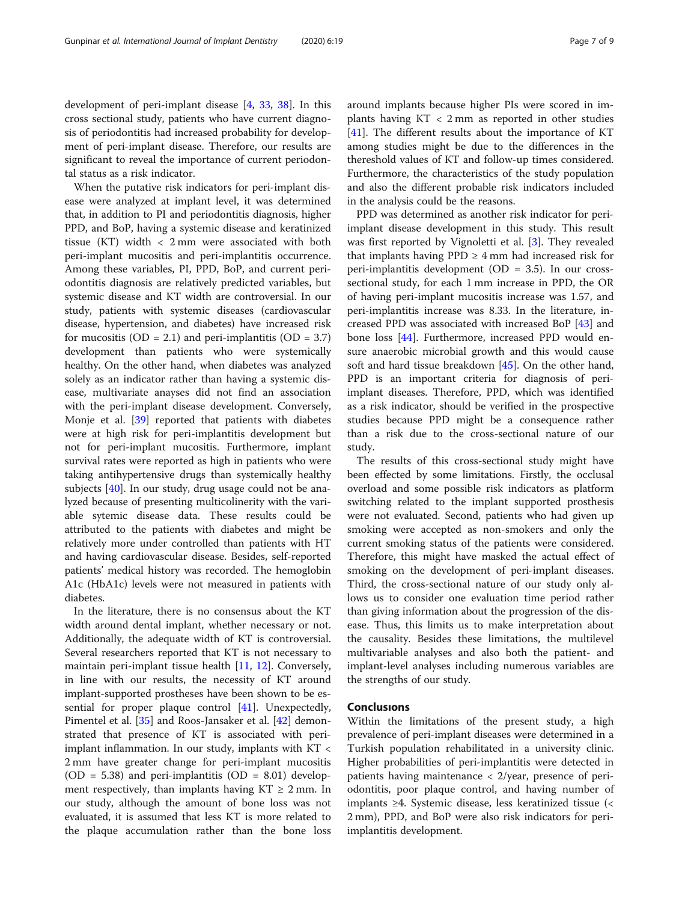development of peri-implant disease [\[4](#page-7-0), [33](#page-7-0), [38](#page-8-0)]. In this cross sectional study, patients who have current diagnosis of periodontitis had increased probability for development of peri-implant disease. Therefore, our results are significant to reveal the importance of current periodontal status as a risk indicator.

When the putative risk indicators for peri-implant disease were analyzed at implant level, it was determined that, in addition to PI and periodontitis diagnosis, higher PPD, and BoP, having a systemic disease and keratinized tissue (KT) width < 2 mm were associated with both peri-implant mucositis and peri-implantitis occurrence. Among these variables, PI, PPD, BoP, and current periodontitis diagnosis are relatively predicted variables, but systemic disease and KT width are controversial. In our study, patients with systemic diseases (cardiovascular disease, hypertension, and diabetes) have increased risk for mucositis (OD = 2.1) and peri-implantitis (OD = 3.7) development than patients who were systemically healthy. On the other hand, when diabetes was analyzed solely as an indicator rather than having a systemic disease, multivariate anayses did not find an association with the peri-implant disease development. Conversely, Monje et al. [\[39](#page-8-0)] reported that patients with diabetes were at high risk for peri-implantitis development but not for peri-implant mucositis. Furthermore, implant survival rates were reported as high in patients who were taking antihypertensive drugs than systemically healthy subjects [\[40](#page-8-0)]. In our study, drug usage could not be analyzed because of presenting multicolinerity with the variable sytemic disease data. These results could be attributed to the patients with diabetes and might be relatively more under controlled than patients with HT and having cardiovascular disease. Besides, self-reported patients' medical history was recorded. The hemoglobin A1c (HbA1c) levels were not measured in patients with diabetes.

In the literature, there is no consensus about the KT width around dental implant, whether necessary or not. Additionally, the adequate width of KT is controversial. Several researchers reported that KT is not necessary to maintain peri-implant tissue health [\[11](#page-7-0), [12\]](#page-7-0). Conversely, in line with our results, the necessity of KT around implant-supported prostheses have been shown to be essential for proper plaque control [[41\]](#page-8-0). Unexpectedly, Pimentel et al. [[35\]](#page-8-0) and Roos-Jansaker et al. [[42](#page-8-0)] demonstrated that presence of KT is associated with periimplant inflammation. In our study, implants with KT < 2 mm have greater change for peri-implant mucositis (OD = 5.38) and peri-implantitis (OD = 8.01) development respectively, than implants having  $KT \geq 2$  mm. In our study, although the amount of bone loss was not evaluated, it is assumed that less KT is more related to the plaque accumulation rather than the bone loss around implants because higher PIs were scored in implants having  $KT < 2$  mm as reported in other studies [[41\]](#page-8-0). The different results about the importance of KT among studies might be due to the differences in the thereshold values of KT and follow-up times considered. Furthermore, the characteristics of the study population and also the different probable risk indicators included in the analysis could be the reasons.

PPD was determined as another risk indicator for periimplant disease development in this study. This result was first reported by Vignoletti et al. [[3\]](#page-7-0). They revealed that implants having  $PPD \geq 4$  mm had increased risk for peri-implantitis development (OD =  $3.5$ ). In our crosssectional study, for each 1 mm increase in PPD, the OR of having peri-implant mucositis increase was 1.57, and peri-implantitis increase was 8.33. In the literature, increased PPD was associated with increased BoP [\[43](#page-8-0)] and bone loss [\[44\]](#page-8-0). Furthermore, increased PPD would ensure anaerobic microbial growth and this would cause soft and hard tissue breakdown [[45](#page-8-0)]. On the other hand, PPD is an important criteria for diagnosis of periimplant diseases. Therefore, PPD, which was identified as a risk indicator, should be verified in the prospective studies because PPD might be a consequence rather than a risk due to the cross-sectional nature of our study.

The results of this cross-sectional study might have been effected by some limitations. Firstly, the occlusal overload and some possible risk indicators as platform switching related to the implant supported prosthesis were not evaluated. Second, patients who had given up smoking were accepted as non-smokers and only the current smoking status of the patients were considered. Therefore, this might have masked the actual effect of smoking on the development of peri-implant diseases. Third, the cross-sectional nature of our study only allows us to consider one evaluation time period rather than giving information about the progression of the disease. Thus, this limits us to make interpretation about the causality. Besides these limitations, the multilevel multivariable analyses and also both the patient- and implant-level analyses including numerous variables are the strengths of our study.

### Conclusıons

Within the limitations of the present study, a high prevalence of peri-implant diseases were determined in a Turkish population rehabilitated in a university clinic. Higher probabilities of peri-implantitis were detected in patients having maintenance < 2/year, presence of periodontitis, poor plaque control, and having number of implants ≥4. Systemic disease, less keratinized tissue (< 2 mm), PPD, and BoP were also risk indicators for periimplantitis development.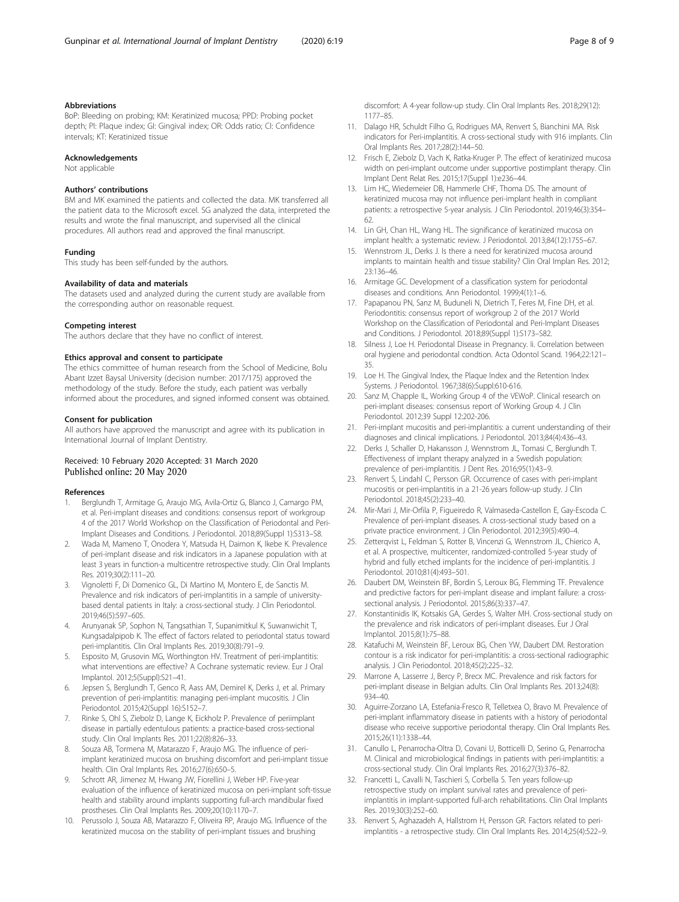#### <span id="page-7-0"></span>Abbreviations

BoP: Bleeding on probing; KM: Keratinized mucosa; PPD: Probing pocket depth; PI: Plaque index; GI: Gingival index; OR: Odds ratio; CI: Confidence intervals; KT: Keratinized tissue

#### Acknowledgements

Not applicable

#### Authors' contributions

BM and MK examined the patients and collected the data. MK transferred all the patient data to the Microsoft excel. SG analyzed the data, interpreted the results and wrote the final manuscript, and supervised all the clinical procedures. All authors read and approved the final manuscript.

#### Funding

This study has been self-funded by the authors.

#### Availability of data and materials

The datasets used and analyzed during the current study are available from the corresponding author on reasonable request.

#### Competing interest

The authors declare that they have no conflict of interest.

#### Ethics approval and consent to participate

The ethics committee of human research from the School of Medicine, Bolu Abant Izzet Baysal University (decision number: 2017/175) approved the methodology of the study. Before the study, each patient was verbally informed about the procedures, and signed informed consent was obtained.

#### Consent for publication

All authors have approved the manuscript and agree with its publication in International Journal of Implant Dentistry.

#### Received: 10 February 2020 Accepted: 31 March 2020 Published online: 20 May 2020

#### References

- 1. Berglundh T, Armitage G, Araujo MG, Avila-Ortiz G, Blanco J, Camargo PM, et al. Peri-implant diseases and conditions: consensus report of workgroup 4 of the 2017 World Workshop on the Classification of Periodontal and Peri-Implant Diseases and Conditions. J Periodontol. 2018;89(Suppl 1):S313–S8.
- 2. Wada M, Mameno T, Onodera Y, Matsuda H, Daimon K, Ikebe K. Prevalence of peri-implant disease and risk indicators in a Japanese population with at least 3 years in function-a multicentre retrospective study. Clin Oral Implants Res. 2019;30(2):111–20.
- 3. Vignoletti F, Di Domenico GL, Di Martino M, Montero E, de Sanctis M. Prevalence and risk indicators of peri-implantitis in a sample of universitybased dental patients in Italy: a cross-sectional study. J Clin Periodontol. 2019;46(5):597–605.
- 4. Arunyanak SP, Sophon N, Tangsathian T, Supanimitkul K, Suwanwichit T, Kungsadalpipob K. The effect of factors related to periodontal status toward peri-implantitis. Clin Oral Implants Res. 2019;30(8):791–9.
- 5. Esposito M, Grusovin MG, Worthington HV. Treatment of peri-implantitis: what interventions are effective? A Cochrane systematic review. Eur J Oral Implantol. 2012;5(Suppl):S21–41.
- 6. Jepsen S, Berglundh T, Genco R, Aass AM, Demirel K, Derks J, et al. Primary prevention of peri-implantitis: managing peri-implant mucositis. J Clin Periodontol. 2015;42(Suppl 16):S152–7.
- 7. Rinke S, Ohl S, Ziebolz D, Lange K, Eickholz P. Prevalence of periimplant disease in partially edentulous patients: a practice-based cross-sectional study. Clin Oral Implants Res. 2011;22(8):826–33.
- Souza AB, Tormena M, Matarazzo F, Araujo MG. The influence of periimplant keratinized mucosa on brushing discomfort and peri-implant tissue health. Clin Oral Implants Res. 2016;27(6):650–5.
- 9. Schrott AR, Jimenez M, Hwang JW, Fiorellini J, Weber HP. Five-year evaluation of the influence of keratinized mucosa on peri-implant soft-tissue health and stability around implants supporting full-arch mandibular fixed prostheses. Clin Oral Implants Res. 2009;20(10):1170–7.
- 10. Perussolo J, Souza AB, Matarazzo F, Oliveira RP, Araujo MG. Influence of the keratinized mucosa on the stability of peri-implant tissues and brushing

discomfort: A 4-year follow-up study. Clin Oral Implants Res. 2018;29(12): 1177–85.

- 11. Dalago HR, Schuldt Filho G, Rodrigues MA, Renvert S, Bianchini MA. Risk indicators for Peri-implantitis. A cross-sectional study with 916 implants. Clin Oral Implants Res. 2017;28(2):144–50.
- 12. Frisch E, Ziebolz D, Vach K, Ratka-Kruger P. The effect of keratinized mucosa width on peri-implant outcome under supportive postimplant therapy. Clin Implant Dent Relat Res. 2015;17(Suppl 1):e236–44.
- 13. Lim HC, Wiedemeier DB, Hammerle CHF, Thoma DS. The amount of keratinized mucosa may not influence peri-implant health in compliant patients: a retrospective 5-year analysis. J Clin Periodontol. 2019;46(3):354– 62.
- 14. Lin GH, Chan HL, Wang HL. The significance of keratinized mucosa on implant health: a systematic review. J Periodontol. 2013;84(12):1755–67.
- 15. Wennstrom JL, Derks J. Is there a need for keratinized mucosa around implants to maintain health and tissue stability? Clin Oral Implan Res. 2012; 23:136–46.
- 16. Armitage GC. Development of a classification system for periodontal diseases and conditions. Ann Periodontol. 1999;4(1):1–6.
- 17. Papapanou PN, Sanz M, Buduneli N, Dietrich T, Feres M, Fine DH, et al. Periodontitis: consensus report of workgroup 2 of the 2017 World Workshop on the Classification of Periodontal and Peri-Implant Diseases and Conditions. J Periodontol. 2018;89(Suppl 1):S173–S82.
- 18. Silness J, Loe H. Periodontal Disease in Pregnancy. Ii. Correlation between oral hygiene and periodontal condtion. Acta Odontol Scand. 1964;22:121– 35.
- 19. Loe H. The Gingival Index, the Plaque Index and the Retention Index Systems. J Periodontol. 1967;38(6):Suppl:610-616.
- 20. Sanz M, Chapple IL, Working Group 4 of the VEWoP. Clinical research on peri-implant diseases: consensus report of Working Group 4. J Clin Periodontol. 2012;39 Suppl 12:202-206.
- 21. Peri-implant mucositis and peri-implantitis: a current understanding of their diagnoses and clinical implications. J Periodontol. 2013;84(4):436–43.
- 22. Derks J, Schaller D, Hakansson J, Wennstrom JL, Tomasi C, Berglundh T. Effectiveness of implant therapy analyzed in a Swedish population: prevalence of peri-implantitis. J Dent Res. 2016;95(1):43–9.
- 23. Renvert S, Lindahl C, Persson GR. Occurrence of cases with peri-implant mucositis or peri-implantitis in a 21-26 years follow-up study. J Clin Periodontol. 2018;45(2):233–40.
- 24. Mir-Mari J, Mir-Orfila P, Figueiredo R, Valmaseda-Castellon E, Gay-Escoda C. Prevalence of peri-implant diseases. A cross-sectional study based on a private practice environment. J Clin Periodontol. 2012;39(5):490–4.
- 25. Zetterqvist L, Feldman S, Rotter B, Vincenzi G, Wennstrom JL, Chierico A, et al. A prospective, multicenter, randomized-controlled 5-year study of hybrid and fully etched implants for the incidence of peri-implantitis. J Periodontol. 2010;81(4):493–501.
- 26. Daubert DM, Weinstein BF, Bordin S, Leroux BG, Flemming TF. Prevalence and predictive factors for peri-implant disease and implant failure: a crosssectional analysis. J Periodontol. 2015;86(3):337–47.
- 27. Konstantinidis IK, Kotsakis GA, Gerdes S, Walter MH. Cross-sectional study on the prevalence and risk indicators of peri-implant diseases. Eur J Oral Implantol. 2015;8(1):75–88.
- 28. Katafuchi M, Weinstein BF, Leroux BG, Chen YW, Daubert DM. Restoration contour is a risk indicator for peri-implantitis: a cross-sectional radiographic analysis. J Clin Periodontol. 2018;45(2):225–32.
- 29. Marrone A, Lasserre J, Bercy P, Brecx MC. Prevalence and risk factors for peri-implant disease in Belgian adults. Clin Oral Implants Res. 2013;24(8): 934–40.
- 30. Aguirre-Zorzano LA, Estefania-Fresco R, Telletxea O, Bravo M. Prevalence of peri-implant inflammatory disease in patients with a history of periodontal disease who receive supportive periodontal therapy. Clin Oral Implants Res. 2015;26(11):1338–44.
- 31. Canullo L, Penarrocha-Oltra D, Covani U, Botticelli D, Serino G, Penarrocha M. Clinical and microbiological findings in patients with peri-implantitis: a cross-sectional study. Clin Oral Implants Res. 2016;27(3):376–82.
- 32. Francetti L, Cavalli N, Taschieri S, Corbella S. Ten years follow-up retrospective study on implant survival rates and prevalence of periimplantitis in implant-supported full-arch rehabilitations. Clin Oral Implants Res. 2019;30(3):252–60.
- 33. Renvert S, Aghazadeh A, Hallstrom H, Persson GR. Factors related to periimplantitis - a retrospective study. Clin Oral Implants Res. 2014;25(4):522–9.